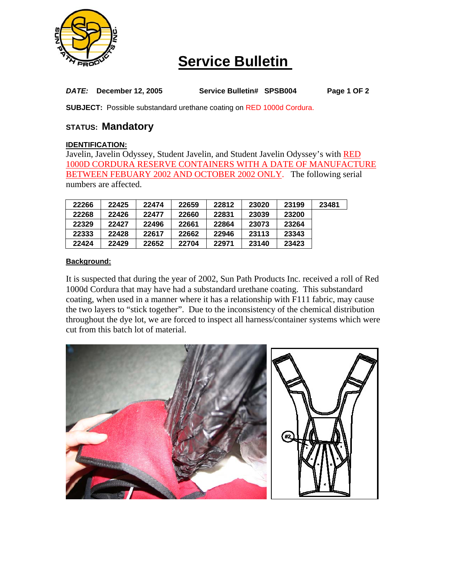

# **Service Bulletin**

*DATE:* **December 12, 2005 Service Bulletin# SPSB004 Page 1 OF 2**

**SUBJECT:** Possible substandard urethane coating on RED 1000d Cordura.

## **STATUS: Mandatory**

### **IDENTIFICATION:**

Javelin, Javelin Odyssey, Student Javelin, and Student Javelin Odyssey's with RED 1000D CORDURA RESERVE CONTAINERS WITH A DATE OF MANUFACTURE BETWEEN FEBUARY 2002 AND OCTOBER 2002 ONLY. The following serial numbers are affected.

| 22266 | 22425 | 22474 | 22659 | 22812 | 23020 | 23199 | 23481 |
|-------|-------|-------|-------|-------|-------|-------|-------|
| 22268 | 22426 | 22477 | 22660 | 22831 | 23039 | 23200 |       |
| 22329 | 22427 | 22496 | 22661 | 22864 | 23073 | 23264 |       |
| 22333 | 22428 | 22617 | 22662 | 22946 | 23113 | 23343 |       |
| 22424 | 22429 | 22652 | 22704 | 22971 | 23140 | 23423 |       |

#### **Background:**

It is suspected that during the year of 2002, Sun Path Products Inc. received a roll of Red 1000d Cordura that may have had a substandard urethane coating. This substandard coating, when used in a manner where it has a relationship with F111 fabric, may cause the two layers to "stick together". Due to the inconsistency of the chemical distribution throughout the dye lot, we are forced to inspect all harness/container systems which were cut from this batch lot of material.